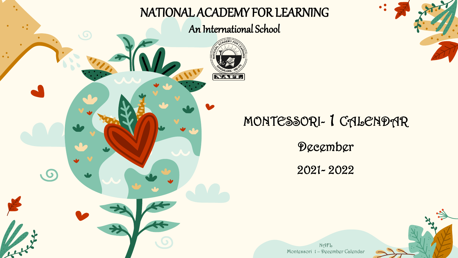

#### NATIONAL ACADEMY FOR LEARNING

An International School



### MONTESSORI- 1 CALENDAR

 $\bullet$ 

December

2021- 2022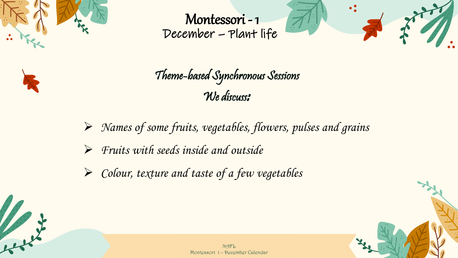

للملبوء







- $\triangleright$  Names of some fruits, vegetables, flowers, pulses and grains
- ➢ Fruits with seeds inside and outside
- $\triangleright$  Colour, texture and taste of a few vegetables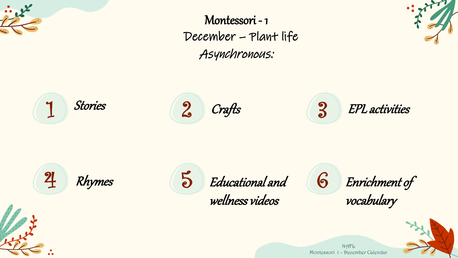

Asynchronous: Montessori - 1 December – Plant life



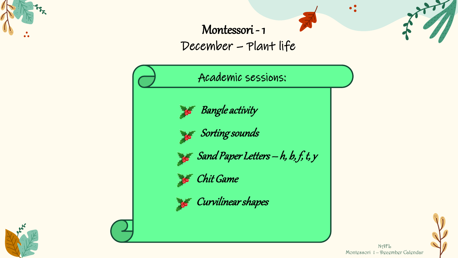

### Montessori - 1 December – Plant life

Academic sessions:

Bangle activity

Sorting sounds

Sand Paper Letters  $-h$ ,  $b$ ,  $f$ ,  $t$ ,  $y$ 

**Chit Game** 

**Starf Curvilinear shapes** 





 $\bullet$   $\bullet$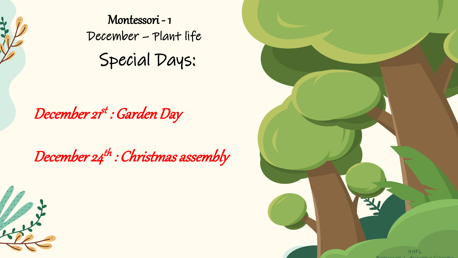

Let's de

Special Days: Montessori - 1 December – Plant life

December 21<sup>st</sup> : Garden Day

December 24<sup>th</sup> : Christmas assembly

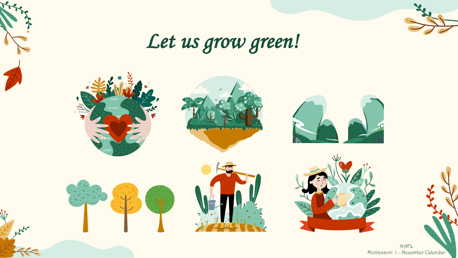

 $x^{\prime}$ 



# Let us grow green!

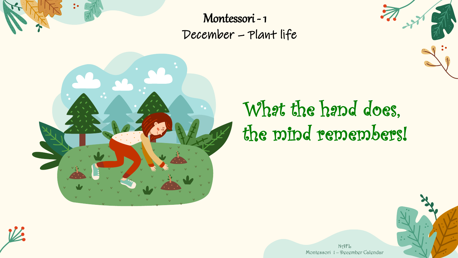

Montessori - 1 December – Plant life



# What the hand does, the mind remembers!



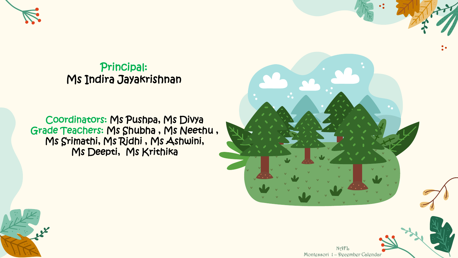

Principal: Ms Indira Jayakrishnan

Coordinators: Ms Pushpa, Ms Divya Grade Teachers: Ms Shubha , Ms Neethu , Ms Srimathi, Ms Ridhi , Ms Ashwini, Ms Deepti, Ms Krithika